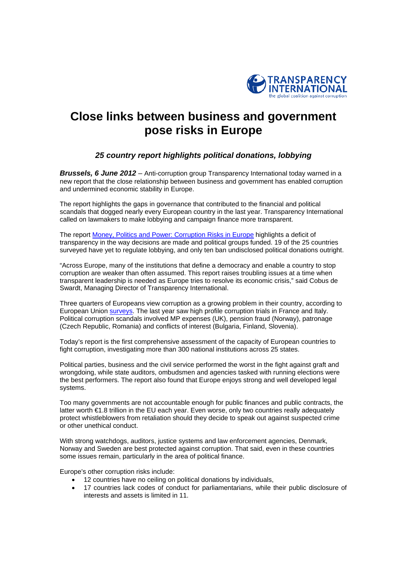

# **Close links between business and government pose risks in Europe**

## *25 country report highlights political donations, lobbying*

*Brussels, 6 June 2012* – Anti-corruption group Transparency International today warned in a new report that the close relationship between business and government has enabled corruption and undermined economic stability in Europe.

The report highlights the gaps in governance that contributed to the financial and political scandals that dogged nearly every European country in the last year. Transparency International called on lawmakers to make lobbying and campaign finance more transparent.

The report [Money, Politics and Power: Corruption Risks in Europe](http://www.transparency.org/whatwedo/pub/money_politics_and_power_corruption_risks_in_europe) highlights a deficit of transparency in the way decisions are made and political groups funded. 19 of the 25 countries surveyed have yet to regulate lobbying, and only ten ban undisclosed political donations outright.

"Across Europe, many of the institutions that define a democracy and enable a country to stop corruption are weaker than often assumed. This report raises troubling issues at a time when transparent leadership is needed as Europe tries to resolve its economic crisis," said Cobus de Swardt, Managing Director of Transparency International.

Three quarters of Europeans view corruption as a growing problem in their country, according to European Union **surveys**. The last year saw high profile corruption trials in France and Italy. Political corruption scandals involved MP expenses (UK), pension fraud (Norway), patronage (Czech Republic, Romania) and conflicts of interest (Bulgaria, Finland, Slovenia).

Today's report is the first comprehensive assessment of the capacity of European countries to fight corruption, investigating more than 300 national institutions across 25 states.

Political parties, business and the civil service performed the worst in the fight against graft and wrongdoing, while state auditors, ombudsmen and agencies tasked with running elections were the best performers. The report also found that Europe enjoys strong and well developed legal systems.

Too many governments are not accountable enough for public finances and public contracts, the latter worth €1.8 trillion in the EU each year. Even worse, only two countries really adequately protect whistleblowers from retaliation should they decide to speak out against suspected crime or other unethical conduct.

With strong watchdogs, auditors, justice systems and law enforcement agencies, Denmark, Norway and Sweden are best protected against corruption. That said, even in these countries some issues remain, particularly in the area of political finance.

Europe's other corruption risks include:

- 12 countries have no ceiling on political donations by individuals,
- 17 countries lack codes of conduct for parliamentarians, while their public disclosure of interests and assets is limited in 11.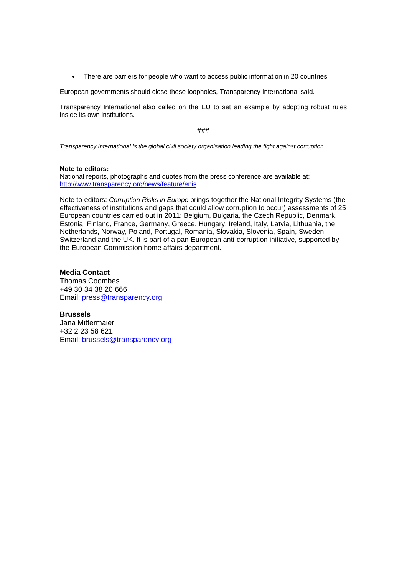There are barriers for people who want to access public information in 20 countries.

European governments should close these loopholes, Transparency International said.

Transparency International also called on the EU to set an example by adopting robust rules inside its own institutions.

###

*Transparency International is the global civil society organisation leading the fight against corruption* 

#### **Note to editors:**

National reports, photographs and quotes from the press conference are available at: <http://www.transparency.org/news/feature/enis>

Note to editors: *Corruption Risks in Europe* brings together the National Integrity Systems (the effectiveness of institutions and gaps that could allow corruption to occur) assessments of 25 European countries carried out in 2011: Belgium, Bulgaria, the Czech Republic, Denmark, Estonia, Finland, France, Germany, Greece, Hungary, Ireland, Italy, Latvia, Lithuania, the Netherlands, Norway, Poland, Portugal, Romania, Slovakia, Slovenia, Spain, Sweden, Switzerland and the UK. It is part of a pan-European anti-corruption initiative, supported by the European Commission home affairs department.

#### **Media Contact**

Thomas Coombes +49 30 34 38 20 666 Email: press@transparency.org

**Brussels**  Jana Mittermaier +32 2 23 58 621 Email: brussels@transparency.org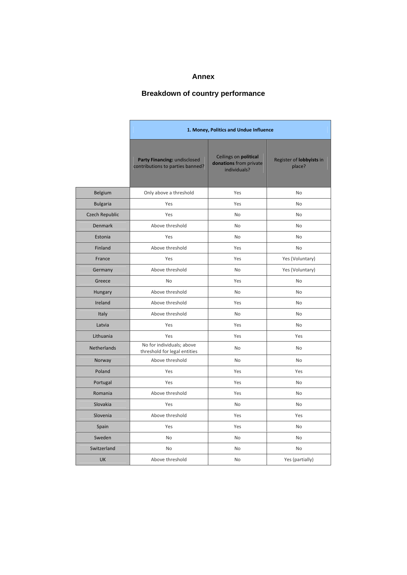## **Annex**

# **Breakdown of country performance**

|                       | 1. Money, Politics and Undue Influence                           |                                                                 |                                    |
|-----------------------|------------------------------------------------------------------|-----------------------------------------------------------------|------------------------------------|
|                       | Party Financing: undisclosed<br>contributions to parties banned? | Ceilings on political<br>donations from private<br>individuals? | Register of lobbyists in<br>place? |
| Belgium               | Only above a threshold                                           | Yes                                                             | <b>No</b>                          |
| <b>Bulgaria</b>       | Yes                                                              | Yes                                                             | No                                 |
| <b>Czech Republic</b> | Yes                                                              | <b>No</b>                                                       | <b>No</b>                          |
| <b>Denmark</b>        | Above threshold                                                  | <b>No</b>                                                       | <b>No</b>                          |
| Estonia               | Yes                                                              | No                                                              | <b>No</b>                          |
| Finland               | Above threshold                                                  | Yes                                                             | <b>No</b>                          |
| France                | Yes                                                              | Yes                                                             | Yes (Voluntary)                    |
| Germany               | Above threshold                                                  | <b>No</b>                                                       | Yes (Voluntary)                    |
| Greece                | <b>No</b>                                                        | Yes                                                             | No                                 |
| Hungary               | Above threshold                                                  | <b>No</b>                                                       | <b>No</b>                          |
| Ireland               | Above threshold                                                  | Yes                                                             | No                                 |
| Italy                 | Above threshold                                                  | <b>No</b>                                                       | No.                                |
| Latvia                | Yes                                                              | Yes                                                             | No.                                |
| Lithuania             | Yes                                                              | Yes                                                             | Yes                                |
| <b>Netherlands</b>    | No for individuals; above<br>threshold for legal entities        | <b>No</b>                                                       | No.                                |
| Norway                | Above threshold                                                  | <b>No</b>                                                       | <b>No</b>                          |
| Poland                | Yes                                                              | Yes                                                             | Yes                                |
| Portugal              | Yes                                                              | Yes                                                             | <b>No</b>                          |
| Romania               | Above threshold                                                  | Yes                                                             | No                                 |
| Slovakia              | Yes                                                              | <b>No</b>                                                       | No                                 |
| Slovenia              | Above threshold                                                  | Yes                                                             | Yes                                |
| Spain                 | Yes                                                              | Yes                                                             | <b>No</b>                          |
| Sweden                | No                                                               | No                                                              | No                                 |
| Switzerland           | No                                                               | No                                                              | No                                 |
| <b>UK</b>             | Above threshold                                                  | <b>No</b>                                                       | Yes (partially)                    |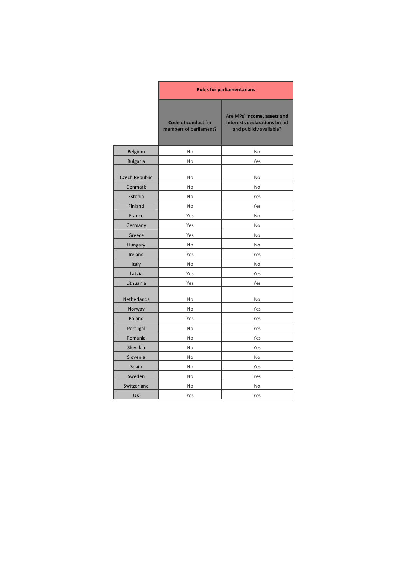|                 | <b>Rules for parliamentarians</b>             |                                                                                        |  |
|-----------------|-----------------------------------------------|----------------------------------------------------------------------------------------|--|
|                 | Code of conduct for<br>members of parliament? | Are MPs' income, assets and<br>interests declarations broad<br>and publicly available? |  |
| Belgium         | <b>No</b>                                     | <b>No</b>                                                                              |  |
| <b>Bulgaria</b> | No                                            | Yes                                                                                    |  |
| Czech Republic  | No                                            | No                                                                                     |  |
| <b>Denmark</b>  | No                                            | No                                                                                     |  |
| Estonia         | No                                            | Yes                                                                                    |  |
| Finland         | No                                            | Yes                                                                                    |  |
| France          | Yes                                           | No                                                                                     |  |
| Germany         | Yes                                           | No                                                                                     |  |
| Greece          | Yes                                           | No                                                                                     |  |
| Hungary         | No                                            | No                                                                                     |  |
| Ireland         | Yes                                           | Yes                                                                                    |  |
| Italy           | No                                            | No                                                                                     |  |
| Latvia          | Yes                                           | Yes                                                                                    |  |
| Lithuania       | Yes                                           | Yes                                                                                    |  |
| Netherlands     | No                                            | No                                                                                     |  |
| Norway          | No                                            | Yes                                                                                    |  |
| Poland          | Yes                                           | Yes                                                                                    |  |
| Portugal        | No                                            | Yes                                                                                    |  |
| Romania         | No                                            | Yes                                                                                    |  |
| Slovakia        | No                                            | Yes                                                                                    |  |
| Slovenia        | No                                            | No                                                                                     |  |
| Spain           | <b>No</b>                                     | Yes                                                                                    |  |
| Sweden          | No                                            | Yes                                                                                    |  |
| Switzerland     | No                                            | No                                                                                     |  |
| UK              | Yes                                           | Yes                                                                                    |  |